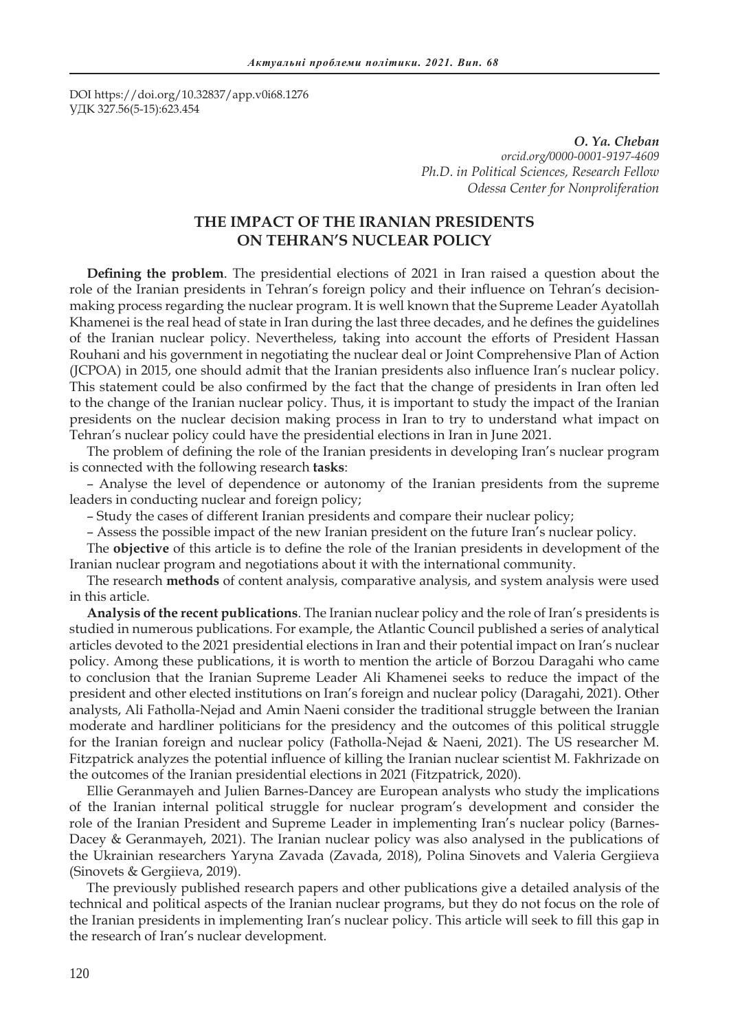DOI https://doi.org/10.32837/app.v0i68.1276 УДК 327.56(5-15):623.454

> *O. Ya. Cheban orcid.org/0000-0001-9197-4609 Ph.D. in Political Sciences, Research Fellow Odessa Center for Nonproliferation*

# **THE IMPACT OF THE IRANIAN PRESIDENTS ON TEHRAN'S NUCLEAR POLICY**

**Defining the problem**. The presidential elections of 2021 in Iran raised a question about the role of the Iranian presidents in Tehran's foreign policy and their influence on Tehran's decisionmaking process regarding the nuclear program. It is well known that the Supreme Leader Ayatollah Khamenei is the real head of state in Iran during the last three decades, and he defines the guidelines of the Iranian nuclear policy. Nevertheless, taking into account the efforts of President Hassan Rouhani and his government in negotiating the nuclear deal or Joint Comprehensive Plan of Action (JCPOA) in 2015, one should admit that the Iranian presidents also influence Iran's nuclear policy. This statement could be also confirmed by the fact that the change of presidents in Iran often led to the change of the Iranian nuclear policy. Thus, it is important to study the impact of the Iranian presidents on the nuclear decision making process in Iran to try to understand what impact on Tehran's nuclear policy could have the presidential elections in Iran in June 2021.

The problem of defining the role of the Iranian presidents in developing Iran's nuclear program is connected with the following research **tasks**:

– Analyse the level of dependence or autonomy of the Iranian presidents from the supreme leaders in conducting nuclear and foreign policy;

– Study the cases of different Iranian presidents and compare their nuclear policy;

– Assess the possible impact of the new Iranian president on the future Iran's nuclear policy.

The **objective** of this article is to define the role of the Iranian presidents in development of the Iranian nuclear program and negotiations about it with the international community.

The research **methods** of content analysis, comparative analysis, and system analysis were used in this article.

**Analysis of the recent publications**. The Iranian nuclear policy and the role of Iran's presidents is studied in numerous publications. For example, the Atlantic Council published a series of analytical articles devoted to the 2021 presidential elections in Iran and their potential impact on Iran's nuclear policy. Among these publications, it is worth to mention the article of Borzou Daragahi who came to conclusion that the Iranian Supreme Leader Ali Khamenei seeks to reduce the impact of the president and other elected institutions on Iran's foreign and nuclear policy (Daragahi, 2021). Other analysts, Ali Fatholla-Nejad and Amin Naeni consider the traditional struggle between the Iranian moderate and hardliner politicians for the presidency and the outcomes of this political struggle for the Iranian foreign and nuclear policy (Fatholla-Nejad & Naeni, 2021). The US researcher M. Fitzpatrick analyzes the potential influence of killing the Iranian nuclear scientist M. Fakhrizade on the outcomes of the Iranian presidential elections in 2021 (Fitzpatrick, 2020).

Ellie Geranmayeh and Julien Barnes-Dancey are European analysts who study the implications of the Iranian internal political struggle for nuclear program's development and consider the role of the Iranian President and Supreme Leader in implementing Iran's nuclear policy (Barnes-Dacey & Geranmayeh, 2021). The Iranian nuclear policy was also analysed in the publications of the Ukrainian researchers Yaryna Zavada (Zavada, 2018), Polina Sinovets and Valeria Gergiieva (Sinovets & Gergiieva, 2019).

The previously published research papers and other publications give a detailed analysis of the technical and political aspects of the Iranian nuclear programs, but they do not focus on the role of the Iranian presidents in implementing Iran's nuclear policy. This article will seek to fill this gap in the research of Iran's nuclear development.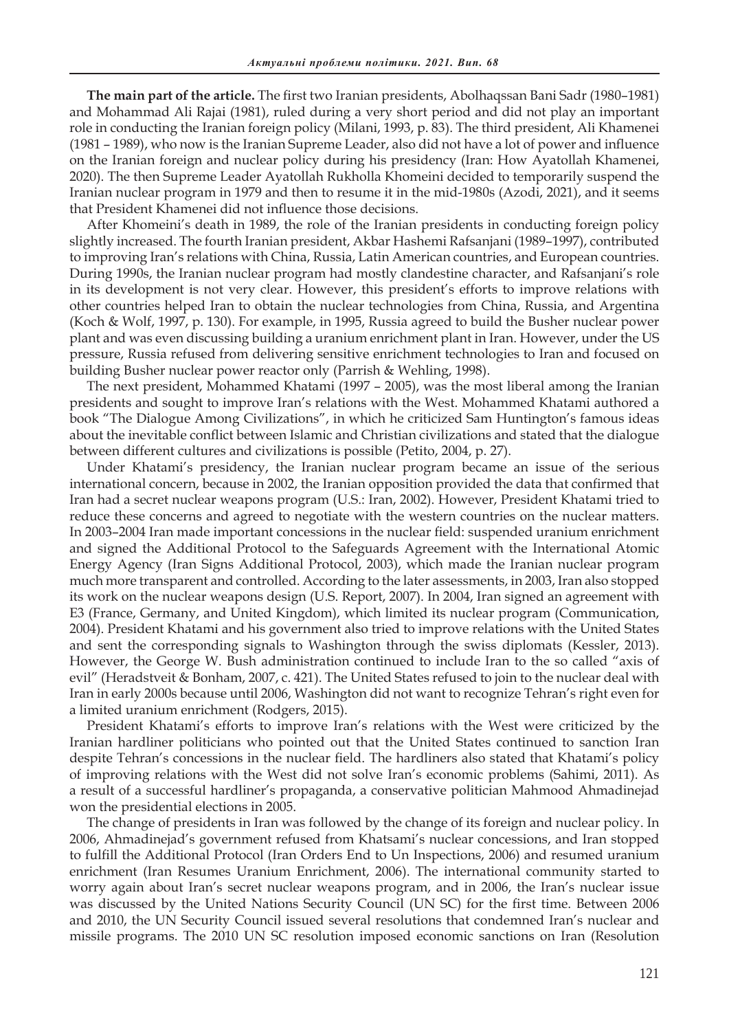**The main part of the article.** The first two Iranian presidents, Abolhaqssan Bani Sadr (1980–1981) and Mohammad Ali Rajai (1981), ruled during a very short period and did not play an important role in conducting the Iranian foreign policy (Milani, 1993, p. 83). The third president, Ali Khamenei (1981 – 1989), who now is the Iranian Supreme Leader, also did not have a lot of power and influence on the Iranian foreign and nuclear policy during his presidency (Iran: How Ayatollah Khamenei, 2020). The then Supreme Leader Ayatollah Rukholla Khomeini decided to temporarily suspend the Iranian nuclear program in 1979 and then to resume it in the mid-1980s (Azodi, 2021), and it seems that President Khamenei did not influence those decisions.

After Khomeini's death in 1989, the role of the Iranian presidents in conducting foreign policy slightly increased. The fourth Iranian president, Akbar Hashemi Rafsanjani (1989–1997), contributed to improving Iran's relations with China, Russia, Latin American countries, and European countries. During 1990s, the Iranian nuclear program had mostly clandestine character, and Rafsanjani's role in its development is not very clear. However, this president's efforts to improve relations with other countries helped Iran to obtain the nuclear technologies from China, Russia, and Argentina (Koch & Wolf, 1997, p. 130). For example, in 1995, Russia agreed to build the Busher nuclear power plant and was even discussing building a uranium enrichment plant in Iran. However, under the US pressure, Russia refused from delivering sensitive enrichment technologies to Iran and focused on building Busher nuclear power reactor only (Parrish & Wehling, 1998).

The next president, Mohammed Khatami (1997 – 2005), was the most liberal among the Iranian presidents and sought to improve Iran's relations with the West. Mohammed Khatami authored a book "The Dialogue Among Civilizations", in which he criticized Sam Huntington's famous ideas about the inevitable conflict between Islamic and Christian civilizations and stated that the dialogue between different cultures and civilizations is possible (Petito, 2004, p. 27).

Under Khatami's presidency, the Iranian nuclear program became an issue of the serious international concern, because in 2002, the Iranian opposition provided the data that confirmed that Iran had a secret nuclear weapons program (U.S.: Iran, 2002). However, President Khatami tried to reduce these concerns and agreed to negotiate with the western countries on the nuclear matters. In 2003–2004 Iran made important concessions in the nuclear field: suspended uranium enrichment and signed the Additional Protocol to the Safeguards Agreement with the International Atomic Energy Agency (Iran Signs Additional Protocol, 2003), which made the Iranian nuclear program much more transparent and controlled. According to the later assessments, in 2003, Iran also stopped its work on the nuclear weapons design (U.S. Report, 2007). In 2004, Iran signed an agreement with E3 (France, Germany, and United Kingdom), which limited its nuclear program (Communication, 2004). President Khatami and his government also tried to improve relations with the United States and sent the corresponding signals to Washington through the swiss diplomats (Kessler, 2013). However, the George W. Bush administration continued to include Iran to the so called "axis of evil" (Heradstveit & Bonham, 2007, c. 421). The United States refused to join to the nuclear deal with Iran in early 2000s because until 2006, Washington did not want to recognize Tehran's right even for a limited uranium enrichment (Rodgers, 2015).

President Khatami's efforts to improve Iran's relations with the West were criticized by the Iranian hardliner politicians who pointed out that the United States continued to sanction Iran despite Tehran's concessions in the nuclear field. The hardliners also stated that Khatami's policy of improving relations with the West did not solve Iran's economic problems (Sahimi, 2011). As a result of a successful hardliner's propaganda, a conservative politician Mahmood Ahmadinejad won the presidential elections in 2005.

The change of presidents in Iran was followed by the change of its foreign and nuclear policy. In 2006, Ahmadinejad's government refused from Khatsami's nuclear concessions, and Iran stopped to fulfill the Additional Protocol (Iran Orders End to Un Inspections, 2006) and resumed uranium enrichment (Iran Resumes Uranium Enrichment, 2006). The international community started to worry again about Iran's secret nuclear weapons program, and in 2006, the Iran's nuclear issue was discussed by the United Nations Security Council (UN SC) for the first time. Between 2006 and 2010, the UN Security Council issued several resolutions that condemned Iran's nuclear and missile programs. The 2010 UN SC resolution imposed economic sanctions on Iran (Resolution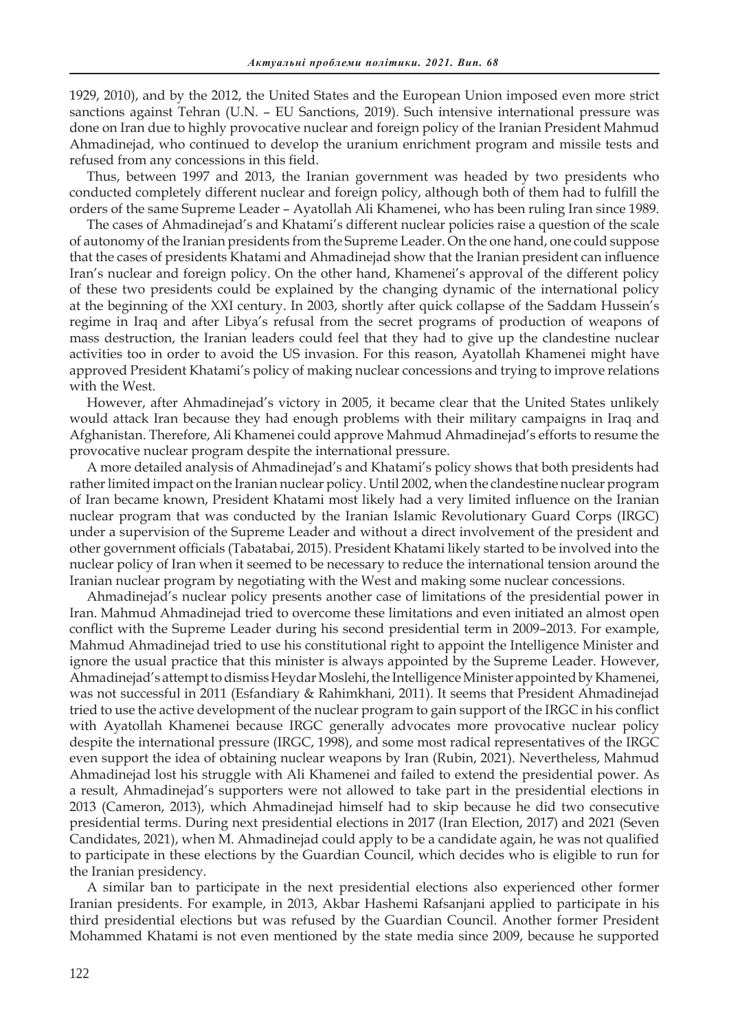1929, 2010), and by the 2012, the United States and the European Union imposed even more strict sanctions against Tehran (U.N. – EU Sanctions, 2019). Such intensive international pressure was done on Iran due to highly provocative nuclear and foreign policy of the Iranian President Mahmud Ahmadinejad, who continued to develop the uranium enrichment program and missile tests and refused from any concessions in this field.

Thus, between 1997 and 2013, the Iranian government was headed by two presidents who conducted completely different nuclear and foreign policy, although both of them had to fulfill the orders of the same Supreme Leader – Ayatollah Ali Khamenei, who has been ruling Iran since 1989.

The cases of Ahmadinejad's and Khatami's different nuclear policies raise a question of the scale of autonomy of the Iranian presidents from the Supreme Leader. On the one hand, one could suppose that the cases of presidents Khatami and Ahmadinejad show that the Iranian president can influence Iran's nuclear and foreign policy. On the other hand, Khamenei's approval of the different policy of these two presidents could be explained by the changing dynamic of the international policy at the beginning of the XXI century. In 2003, shortly after quick collapse of the Saddam Hussein's regime in Iraq and after Libya's refusal from the secret programs of production of weapons of mass destruction, the Iranian leaders could feel that they had to give up the clandestine nuclear activities too in order to avoid the US invasion. For this reason, Ayatollah Khamenei might have approved President Khatami's policy of making nuclear concessions and trying to improve relations with the West.

However, after Ahmadinejad's victory in 2005, it became clear that the United States unlikely would attack Iran because they had enough problems with their military campaigns in Iraq and Afghanistan. Therefore, Ali Khamenei could approve Mahmud Ahmadinejad's efforts to resume the provocative nuclear program despite the international pressure.

A more detailed analysis of Ahmadinejad's and Khatami's policy shows that both presidents had rather limited impact on the Iranian nuclear policy. Until 2002, when the clandestine nuclear program of Iran became known, President Khatami most likely had a very limited influence on the Iranian nuclear program that was conducted by the Iranian Islamic Revolutionary Guard Corps (IRGC) under a supervision of the Supreme Leader and without a direct involvement of the president and other government officials (Tabatabai, 2015). President Khatami likely started to be involved into the nuclear policy of Iran when it seemed to be necessary to reduce the international tension around the Iranian nuclear program by negotiating with the West and making some nuclear concessions.

Ahmadinejad's nuclear policy presents another case of limitations of the presidential power in Iran. Mahmud Ahmadinejad tried to overcome these limitations and even initiated an almost open conflict with the Supreme Leader during his second presidential term in 2009–2013. For example, Mahmud Ahmadinejad tried to use his constitutional right to appoint the Intelligence Minister and ignore the usual practice that this minister is always appointed by the Supreme Leader. However, Ahmadinejad's attempt to dismiss Heydar Moslehi, the Intelligence Minister appointed by Khamenei, was not successful in 2011 (Esfandiary & Rahimkhani, 2011). It seems that President Ahmadinejad tried to use the active development of the nuclear program to gain support of the IRGC in his conflict with Ayatollah Khamenei because IRGC generally advocates more provocative nuclear policy despite the international pressure (IRGC, 1998), and some most radical representatives of the IRGC even support the idea of obtaining nuclear weapons by Iran (Rubin, 2021). Nevertheless, Mahmud Ahmadinejad lost his struggle with Ali Khamenei and failed to extend the presidential power. As a result, Ahmadinejad's supporters were not allowed to take part in the presidential elections in 2013 (Cameron, 2013), which Ahmadinejad himself had to skip because he did two consecutive presidential terms. During next presidential elections in 2017 (Iran Election, 2017) and 2021 (Seven Candidates, 2021), when M. Ahmadinejad could apply to be a candidate again, he was not qualified to participate in these elections by the Guardian Council, which decides who is eligible to run for the Iranian presidency.

A similar ban to participate in the next presidential elections also experienced other former Iranian presidents. For example, in 2013, Akbar Hashemi Rafsanjani applied to participate in his third presidential elections but was refused by the Guardian Council. Another former President Mohammed Khatami is not even mentioned by the state media since 2009, because he supported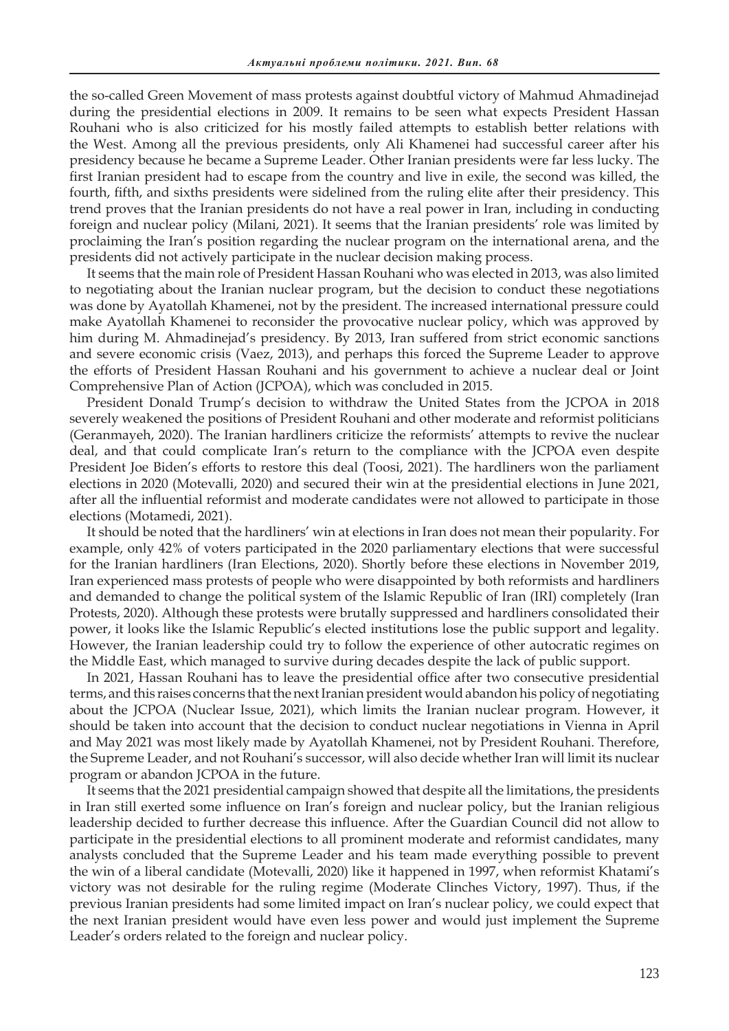the so-called Green Movement of mass protests against doubtful victory of Mahmud Ahmadinejad during the presidential elections in 2009. It remains to be seen what expects President Hassan Rouhani who is also criticized for his mostly failed attempts to establish better relations with the West. Among all the previous presidents, only Ali Khamenei had successful career after his presidency because he became a Supreme Leader. Other Iranian presidents were far less lucky. The first Iranian president had to escape from the country and live in exile, the second was killed, the fourth, fifth, and sixths presidents were sidelined from the ruling elite after their presidency. This trend proves that the Iranian presidents do not have a real power in Iran, including in conducting foreign and nuclear policy (Milani, 2021). It seems that the Iranian presidents' role was limited by proclaiming the Iran's position regarding the nuclear program on the international arena, and the presidents did not actively participate in the nuclear decision making process.

It seems that the main role of President Hassan Rouhani who was elected in 2013, was also limited to negotiating about the Iranian nuclear program, but the decision to conduct these negotiations was done by Ayatollah Khamenei, not by the president. The increased international pressure could make Ayatollah Khamenei to reconsider the provocative nuclear policy, which was approved by him during M. Ahmadinejad's presidency. By 2013, Iran suffered from strict economic sanctions and severe economic crisis (Vaez, 2013), and perhaps this forced the Supreme Leader to approve the efforts of President Hassan Rouhani and his government to achieve a nuclear deal or Joint Comprehensive Plan of Action (JCPOA), which was concluded in 2015.

President Donald Trump's decision to withdraw the United States from the JCPOA in 2018 severely weakened the positions of President Rouhani and other moderate and reformist politicians (Geranmayeh, 2020). The Iranian hardliners criticize the reformists' attempts to revive the nuclear deal, and that could complicate Iran's return to the compliance with the JCPOA even despite President Joe Biden's efforts to restore this deal (Toosi, 2021). The hardliners won the parliament elections in 2020 (Motevalli, 2020) and secured their win at the presidential elections in June 2021, after all the influential reformist and moderate candidates were not allowed to participate in those elections (Motamedi, 2021).

It should be noted that the hardliners' win at elections in Iran does not mean their popularity. For example, only 42% of voters participated in the 2020 parliamentary elections that were successful for the Iranian hardliners (Iran Elections, 2020). Shortly before these elections in November 2019, Iran experienced mass protests of people who were disappointed by both reformists and hardliners and demanded to change the political system of the Islamic Republic of Iran (IRI) completely (Iran Protests, 2020). Although these protests were brutally suppressed and hardliners consolidated their power, it looks like the Islamic Republic's elected institutions lose the public support and legality. However, the Iranian leadership could try to follow the experience of other autocratic regimes on the Middle East, which managed to survive during decades despite the lack of public support.

In 2021, Hassan Rouhani has to leave the presidential office after two consecutive presidential terms, and this raises concerns that the next Iranian president would abandon his policy of negotiating about the JCPOA (Nuclear Issue, 2021), which limits the Iranian nuclear program. However, it should be taken into account that the decision to conduct nuclear negotiations in Vienna in April and May 2021 was most likely made by Ayatollah Khamenei, not by President Rouhani. Therefore, the Supreme Leader, and not Rouhani's successor, will also decide whether Iran will limit its nuclear program or abandon JCPOA in the future.

It seems that the 2021 presidential campaign showed that despite all the limitations, the presidents in Iran still exerted some influence on Iran's foreign and nuclear policy, but the Iranian religious leadership decided to further decrease this influence. After the Guardian Council did not allow to participate in the presidential elections to all prominent moderate and reformist candidates, many analysts concluded that the Supreme Leader and his team made everything possible to prevent the win of a liberal candidate (Motevalli, 2020) like it happened in 1997, when reformist Khatami's victory was not desirable for the ruling regime (Moderate Clinches Victory, 1997). Thus, if the previous Iranian presidents had some limited impact on Iran's nuclear policy, we could expect that the next Iranian president would have even less power and would just implement the Supreme Leader's orders related to the foreign and nuclear policy.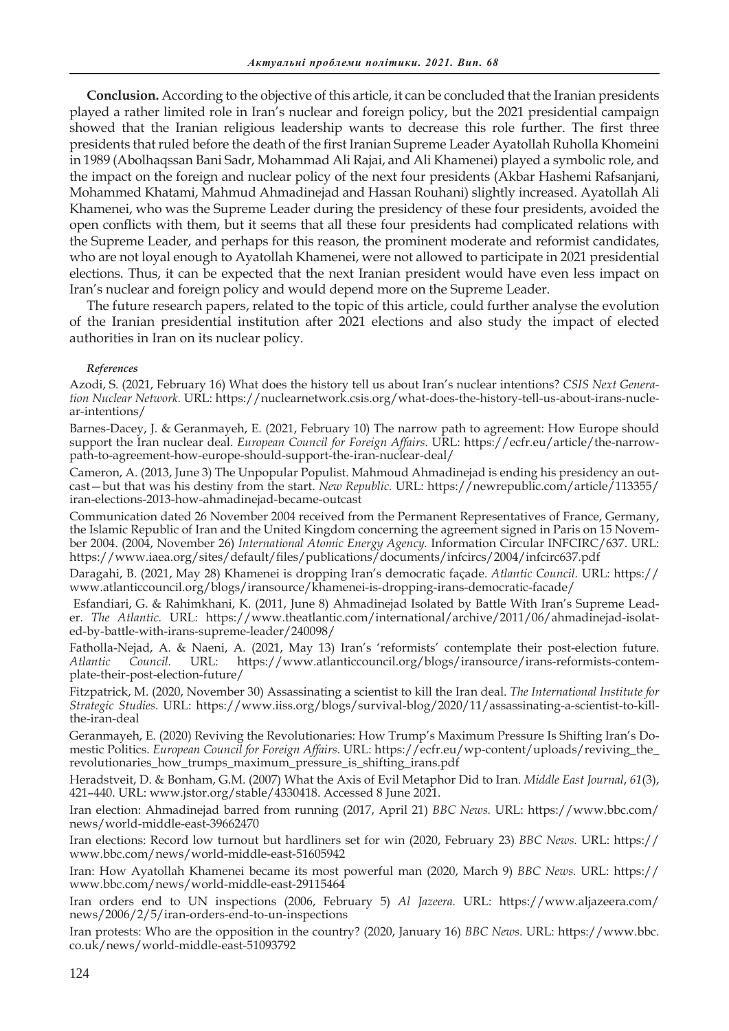**Conclusion.** According to the objective of this article, it can be concluded that the Iranian presidents played a rather limited role in Iran's nuclear and foreign policy, but the 2021 presidential campaign showed that the Iranian religious leadership wants to decrease this role further. The first three presidents that ruled before the death of the first Iranian Supreme Leader Ayatollah Ruholla Khomeini in 1989 (Abolhaqssan Bani Sadr, Mohammad Ali Rajai, and Ali Khamenei) played a symbolic role, and the impact on the foreign and nuclear policy of the next four presidents (Akbar Hashemi Rafsanjani, Mohammed Khatami, Mahmud Ahmadinejad and Hassan Rouhani) slightly increased. Ayatollah Ali Khamenei, who was the Supreme Leader during the presidency of these four presidents, avoided the open conflicts with them, but it seems that all these four presidents had complicated relations with the Supreme Leader, and perhaps for this reason, the prominent moderate and reformist candidates, who are not loyal enough to Ayatollah Khamenei, were not allowed to participate in 2021 presidential elections. Thus, it can be expected that the next Iranian president would have even less impact on Iran's nuclear and foreign policy and would depend more on the Supreme Leader.

The future research papers, related to the topic of this article, could further analyse the evolution of the Iranian presidential institution after 2021 elections and also study the impact of elected authorities in Iran on its nuclear policy.

## *References*

Azodi, S. (2021, February 16) What does the history tell us about Iran's nuclear intentions? *CSIS Next Generation Nuclear Network.* URL: https://nuclearnetwork.csis.org/what-does-the-history-tell-us-about-irans-nuclear-intentions/

Barnes-Dacey, J. & Geranmayeh, E. (2021, February 10) The narrow path to agreement: How Europe should support the Iran nuclear deal. *European Council for Foreign Affairs*. URL: https://ecfr.eu/article/the-narrowpath-to-agreement-how-europe-should-support-the-iran-nuclear-deal/

Cameron, A. (2013, June 3) The Unpopular Populist. Mahmoud Ahmadinejad is ending his presidency an outcast—but that was his destiny from the start. *New Republic.* URL: https://newrepublic.com/article/113355/ iran-elections-2013-how-ahmadinejad-became-outcast

Communication dated 26 November 2004 received from the Permanent Representatives of France, Germany, the Islamic Republic of Iran and the United Kingdom concerning the agreement signed in Paris on 15 November 2004. (2004, November 26) *International Atomic Energy Agency.* Information Circular INFCIRC/637. URL: https://www.iaea.org/sites/default/files/publications/documents/infcircs/2004/infcirc637.pdf

Daragahi, B. (2021, May 28) Khamenei is dropping Iran's democratic façade. *Atlantic Council.* URL: https:// www.atlanticcouncil.org/blogs/iransource/khamenei-is-dropping-irans-democratic-facade/

 Esfandiari, G. & Rahimkhani, K. (2011, June 8) Ahmadinejad Isolated by Battle With Iran's Supreme Leader. *The Atlantic.* URL: https://www.theatlantic.com/international/archive/2011/06/ahmadinejad-isolated-by-battle-with-irans-supreme-leader/240098/

Fatholla-Nejad, A. & Naeni, A. (2021, May 13) Iran's 'reformists' contemplate their post-election future. *Atlantic Council.* URL: https://www.atlanticcouncil.org/blogs/iransource/irans-reformists-contemplate-their-post-election-future/

Fitzpatrick, М. (2020, November 30) Assassinating a scientist to kill the Iran deal. *The International Institute for Strategic Studies*. URL: https://www.iiss.org/blogs/survival-blog/2020/11/assassinating-a-scientist-to-killthe-iran-deal

Geranmayeh, E. (2020) Reviving the Revolutionaries: How Trump's Maximum Pressure Is Shifting Iran's Domestic Politics. *European Council for Foreign Affairs*. URL: https://ecfr.eu/wp-content/uploads/reviving\_the\_ revolutionaries\_how\_trumps\_maximum\_pressure\_is\_shifting\_irans.pdf

Heradstveit, D. & Bonham, G.M. (2007) What the Axis of Evil Metaphor Did to Iran. *Middle East Journal*, *61*(3), 421–440. URL: www.jstor.org/stable/4330418. Accessed 8 June 2021.

Iran election: Ahmadinejad barred from running (2017, April 21) *BBC News.* URL: https://www.bbc.com/ news/world-middle-east-39662470

Iran elections: Record low turnout but hardliners set for win (2020, February 23) *BBC News.* URL: https:// www.bbc.com/news/world-middle-east-51605942

Iran: How Ayatollah Khamenei became its most powerful man (2020, March 9) *BBC News.* URL: https:// www.bbc.com/news/world-middle-east-29115464

Iran orders end to UN inspections (2006, February 5) *Al Jazeera.* URL: https://www.aljazeera.com/ news/2006/2/5/iran-orders-end-to-un-inspections

Iran protests: Who are the opposition in the country? (2020, January 16) *BBC News*. URL: https://www.bbc. co.uk/news/world-middle-east-51093792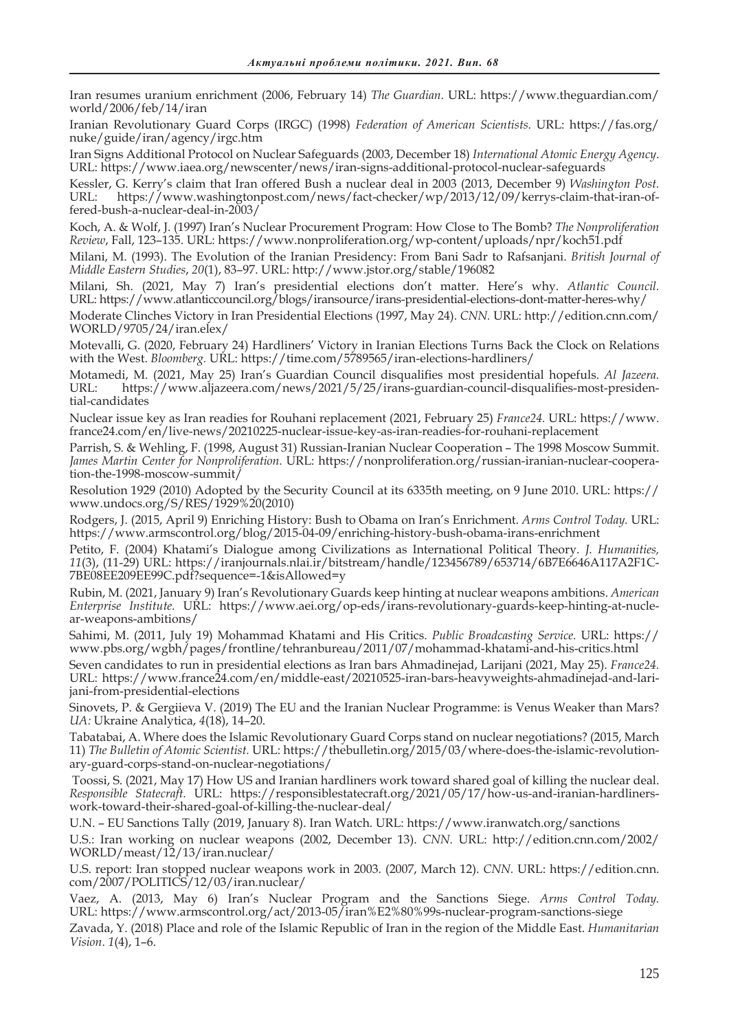Iran resumes uranium enrichment (2006, February 14) *The Guardian.* URL: https://www.theguardian.com/ world/2006/feb/14/iran

Iranian Revolutionary Guard Corps (IRGC) (1998) *Federation of American Scientists*. URL: https://fas.org/ nuke/guide/iran/agency/irgc.htm

Iran Signs Additional Protocol on Nuclear Safeguards (2003, December 18) *International Atomic Energy Agency*. URL: https://www.iaea.org/newscenter/news/iran-signs-additional-protocol-nuclear-safeguards

Kessler, G. Kerry's claim that Iran offered Bush a nuclear deal in 2003 (2013, December 9) *Washington Post.* https://www.washingtonpost.com/news/fact-checker/wp/2013/12/09/kerrys-claim-that-iran-offered-bush-a-nuclear-deal-in-2003/

Koch, A. & Wolf, J. (1997) Iran's Nuclear Procurement Program: How Close to The Bomb? *The Nonproliferation Review*, Fall, 123–135. URL: https://www.nonproliferation.org/wp-content/uploads/npr/koch51.pdf

Milani, M. (1993). The Evolution of the Iranian Presidency: From Bani Sadr to Rafsanjani. *British Journal of Middle Eastern Studies*, *20*(1), 83–97. URL: http://www.jstor.org/stable/196082

Milani, Sh. (2021, May 7) Iran's presidential elections don't matter. Here's why. *Atlantic Council.*  URL: https://www.atlanticcouncil.org/blogs/iransource/irans-presidential-elections-dont-matter-heres-why/

Moderate Clinches Victory in Iran Presidential Elections (1997, May 24). *CNN.* URL: http://edition.cnn.com/ WORLD/9705/24/iran.elex/

Motevalli, G. (2020, February 24) Hardliners' Victory in Iranian Elections Turns Back the Clock on Relations with the West. *Bloomberg*. URL: https://time.com/5789565/iran-elections-hardliners/

Motamedi, M. (2021, May 25) Iran's Guardian Council disqualifies most presidential hopefuls. *Al Jazeera.* https://www.aljazeera.com/news/2021/5/25/irans-guardian-council-disqualifies-most-presidential-candidates

Nuclear issue key as Iran readies for Rouhani replacement (2021, February 25) *France24.* URL: https://www. france24.com/en/live-news/20210225-nuclear-issue-key-as-iran-readies-for-rouhani-replacement

Parrish, S. & Wehling, F. (1998, August 31) Russian-Iranian Nuclear Cooperation – The 1998 Moscow Summit. *James Martin Center for Nonproliferation.* URL: https://nonproliferation.org/russian-iranian-nuclear-cooperation-the-1998-moscow-summit/

Resolution 1929 (2010) Adopted by the Security Council at its 6335th meeting, on 9 June 2010. URL: https:// www.undocs.org/S/RES/1929%20(2010)

Rodgers, J. (2015, April 9) Enriching History: Bush to Obama on Iran's Enrichment. *Arms Control Today.* URL: https://www.armscontrol.org/blog/2015-04-09/enriching-history-bush-obama-irans-enrichment

Petito, F. (2004) Khatami's Dialogue among Civilizations as International Political Theory. *J. Humanities, 11*(3), (11-29) URL: https://iranjournals.nlai.ir/bitstream/handle/123456789/653714/6B7E6646A117A2F1C-7BE08EE209EE99C.pdf?sequence=-1&isAllowed=y

Rubin, M. (2021, January 9) Iran's Revolutionary Guards keep hinting at nuclear weapons ambitions. *American Enterprise Institute.* URL: https://www.aei.org/op-eds/irans-revolutionary-guards-keep-hinting-at-nuclear-weapons-ambitions/

Sahimi, M. (2011, July 19) Mohammad Khatami and His Critics. *Public Broadcasting Service.* URL: https:// www.pbs.org/wgbh/pages/frontline/tehranbureau/2011/07/mohammad-khatami-and-his-critics.html

Seven candidates to run in presidential elections as Iran bars Ahmadinejad, Larijani (2021, May 25). *France24.* URL: https://www.france24.com/en/middle-east/20210525-iran-bars-heavyweights-ahmadinejad-and-larijani-from-presidential-elections

Sinovets, P. & Gergiieva V. (2019) The EU and the Iranian Nuclear Programme: is Venus Weaker than Mars? *UA:* Ukraine Analytica, *4*(18), 14–20.

Tabatabai, A. Where does the Islamic Revolutionary Guard Corps stand on nuclear negotiations? (2015, March 11) *The Bulletin of Atomic Scientist.* URL: https://thebulletin.org/2015/03/where-does-the-islamic-revolutionary-guard-corps-stand-on-nuclear-negotiations/

 Toossi, S. (2021, May 17) How US and Iranian hardliners work toward shared goal of killing the nuclear deal. *Responsible Statecraft.* URL: https://responsiblestatecraft.org/2021/05/17/how-us-and-iranian-hardlinerswork-toward-their-shared-goal-of-killing-the-nuclear-deal/

U.N. – EU Sanctions Tally (2019, January 8). Iran Watch. URL: https://www.iranwatch.org/sanctions

U.S.: Iran working on nuclear weapons (2002, December 13). *CNN.* URL: http://edition.cnn.com/2002/ WORLD/meast/12/13/iran.nuclear/

U.S. report: Iran stopped nuclear weapons work in 2003. (2007, March 12). *CNN.* URL: https://edition.cnn. com/2007/POLITICS/12/03/iran.nuclear/

Vaez, A. (2013, May 6) Iran's Nuclear Program and the Sanctions Siege. *Arms Control Today.*  URL: https://www.armscontrol.org/act/2013-05/iran%E2%80%99s-nuclear-program-sanctions-siege

Zavada, Y. (2018) Place and role of the Islamic Republic of Iran in the region of the Middle East. *Humanitarian Vision*. *1*(4), 1–6.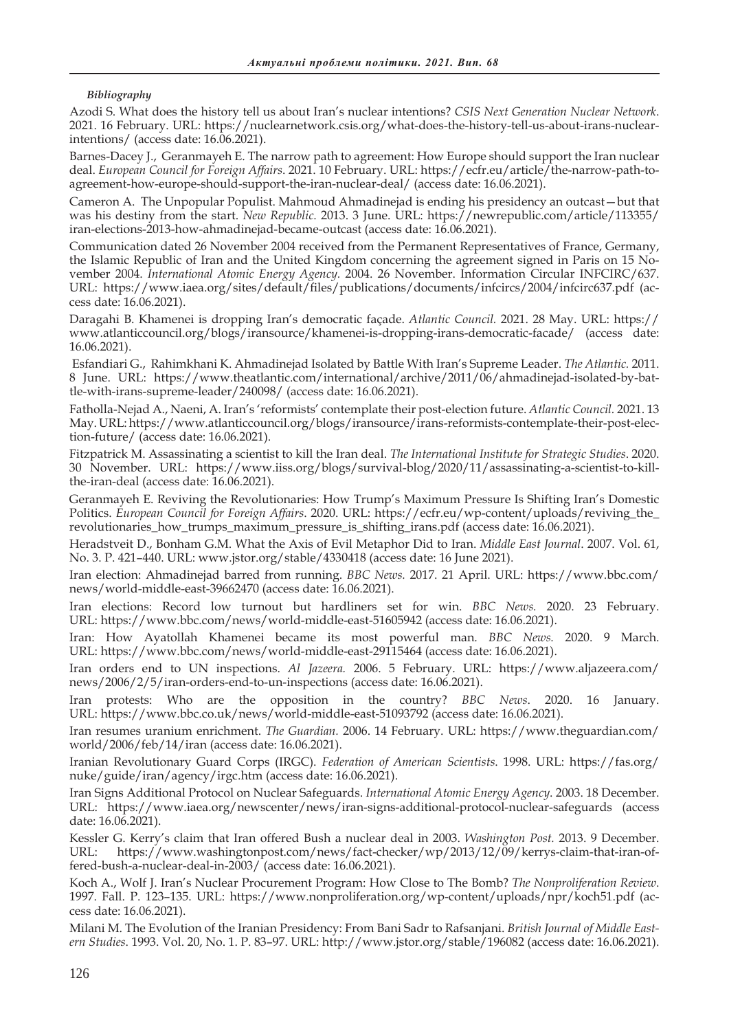## *Bibliography*

Azodi S. What does the history tell us about Iran's nuclear intentions? *CSIS Next Generation Nuclear Network*. 2021. 16 February. URL: https://nuclearnetwork.csis.org/what-does-the-history-tell-us-about-irans-nuclearintentions/ (access date: 16.06.2021).

Barnes-Dacey J., Geranmayeh E. The narrow path to agreement: How Europe should support the Iran nuclear deal. *European Council for Foreign Affairs*. 2021. 10 February. URL: https://ecfr.eu/article/the-narrow-path-toagreement-how-europe-should-support-the-iran-nuclear-deal/ (access date: 16.06.2021).

Cameron A. The Unpopular Populist. Mahmoud Ahmadinejad is ending his presidency an outcast—but that was his destiny from the start. *New Republic.* 2013. 3 June. URL: https://newrepublic.com/article/113355/ iran-elections-2013-how-ahmadinejad-became-outcast (access date: 16.06.2021).

Communication dated 26 November 2004 received from the Permanent Representatives of France, Germany, the Islamic Republic of Iran and the United Kingdom concerning the agreement signed in Paris on 15 November 2004. *International Atomic Energy Agency.* 2004. 26 November. Information Circular INFCIRC/637. URL: https://www.iaea.org/sites/default/files/publications/documents/infcircs/2004/infcirc637.pdf (access date: 16.06.2021).

Daragahi B. Khamenei is dropping Iran's democratic façade. *Atlantic Council.* 2021. 28 May. URL: https:// www.atlanticcouncil.org/blogs/iransource/khamenei-is-dropping-irans-democratic-facade/ (access date: 16.06.2021).

 Esfandiari G., Rahimkhani K. Ahmadinejad Isolated by Battle With Iran's Supreme Leader. *The Atlantic.* 2011. 8 June. URL: https://www.theatlantic.com/international/archive/2011/06/ahmadinejad-isolated-by-battle-with-irans-supreme-leader/240098/ (access date: 16.06.2021).

Fatholla-Nejad A., Naeni, A. Iran's 'reformists' contemplate their post-election future. *Atlantic Council.* 2021. 13 May. URL: https://www.atlanticcouncil.org/blogs/iransource/irans-reformists-contemplate-their-post-election-future/ (access date: 16.06.2021).

Fitzpatrick М. Assassinating a scientist to kill the Iran deal. *The International Institute for Strategic Studies*. 2020. 30 November. URL: https://www.iiss.org/blogs/survival-blog/2020/11/assassinating-a-scientist-to-killthe-iran-deal (access date: 16.06.2021).

Geranmayeh E. Reviving the Revolutionaries: How Trump's Maximum Pressure Is Shifting Iran's Domestic Politics. *European Council for Foreign Affairs*. 2020. URL: https://ecfr.eu/wp-content/uploads/reviving\_the\_ revolutionaries\_how\_trumps\_maximum\_pressure\_is\_shifting\_irans.pdf (access date: 16.06.2021).

Heradstveit D., Bonham G.M. What the Axis of Evil Metaphor Did to Iran. *Middle East Journal*. 2007. Vol. 61, No. 3. P. 421–440. URL: www.jstor.org/stable/4330418 (access date: 16 June 2021).

Iran election: Ahmadinejad barred from running. *BBC News.* 2017. 21 April. URL: https://www.bbc.com/ news/world-middle-east-39662470 (access date: 16.06.2021).

Iran elections: Record low turnout but hardliners set for win. *BBC News.* 2020. 23 February. URL: https://www.bbc.com/news/world-middle-east-51605942 (access date: 16.06.2021).

Iran: How Ayatollah Khamenei became its most powerful man. *BBC News.* 2020. 9 March. URL: https://www.bbc.com/news/world-middle-east-29115464 (access date: 16.06.2021).

Iran orders end to UN inspections. *Al Jazeera.* 2006. 5 February. URL: https://www.aljazeera.com/ news/2006/2/5/iran-orders-end-to-un-inspections (access date: 16.06.2021).

Iran protests: Who are the opposition in the country? *BBC News*. 2020. 16 January. URL: https://www.bbc.co.uk/news/world-middle-east-51093792 (access date: 16.06.2021).

Iran resumes uranium enrichment. *The Guardian.* 2006. 14 February. URL: https://www.theguardian.com/ world/2006/feb/14/iran (access date: 16.06.2021).

Iranian Revolutionary Guard Corps (IRGC). *Federation of American Scientists*. 1998. URL: https://fas.org/ nuke/guide/iran/agency/irgc.htm (access date: 16.06.2021).

Iran Signs Additional Protocol on Nuclear Safeguards. *International Atomic Energy Agency*. 2003. 18 December. URL: https://www.iaea.org/newscenter/news/iran-signs-additional-protocol-nuclear-safeguards (access date: 16.06.2021).

Kessler G. Kerry's claim that Iran offered Bush a nuclear deal in 2003. *Washington Post.* 2013. 9 December. URL: https://www.washingtonpost.com/news/fact-checker/wp/2013/12/09/kerrys-claim-that-iran-offered-bush-a-nuclear-deal-in-2003/ (access date: 16.06.2021).

Koch A., Wolf J. Iran's Nuclear Procurement Program: How Close to The Bomb? *The Nonproliferation Review*. 1997. Fall. P. 123–135. URL: https://www.nonproliferation.org/wp-content/uploads/npr/koch51.pdf (access date: 16.06.2021).

Milani M. The Evolution of the Iranian Presidency: From Bani Sadr to Rafsanjani. *British Journal of Middle Eastern Studies*. 1993. Vol. 20, No. 1. P. 83–97. URL: http://www.jstor.org/stable/196082 (access date: 16.06.2021).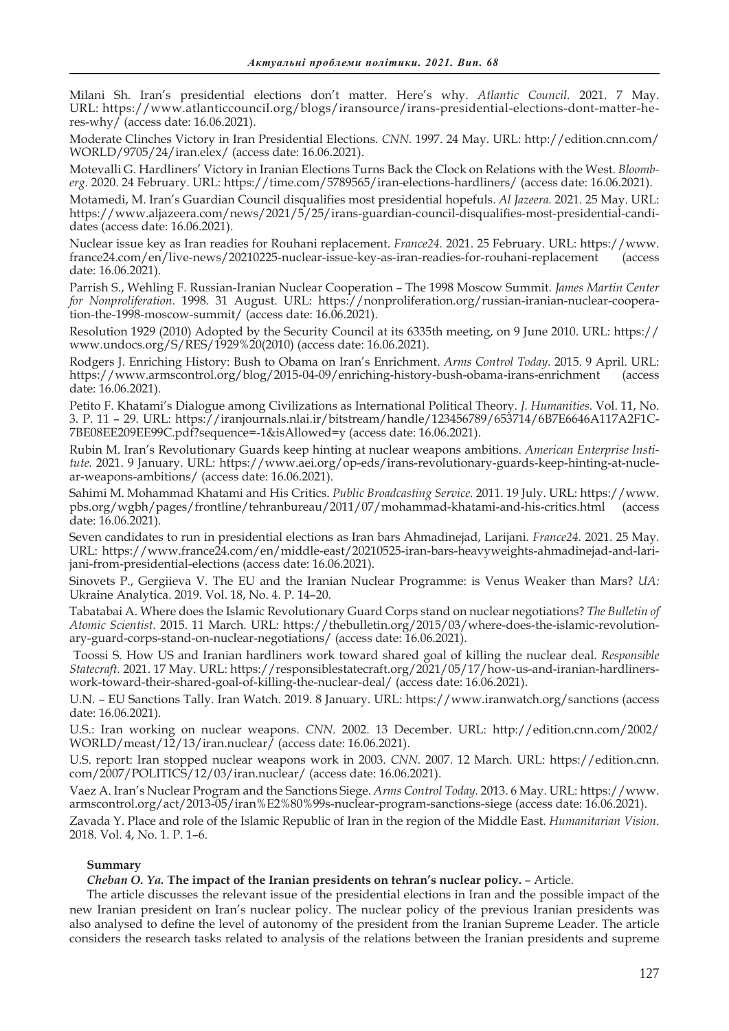Milani Sh. Iran's presidential elections don't matter. Here's why. *Atlantic Council.* 2021. 7 May. URL: https://www.atlanticcouncil.org/blogs/iransource/irans-presidential-elections-dont-matter-heres-why/ (access date: 16.06.2021).

Moderate Clinches Victory in Iran Presidential Elections. *CNN.* 1997. 24 May. URL: http://edition.cnn.com/ WORLD/9705/24/iran.elex/ (access date: 16.06.2021).

Motevalli G. Hardliners' Victory in Iranian Elections Turns Back the Clock on Relations with the West. *Bloomberg.* 2020. 24 February. URL: https://time.com/5789565/iran-elections-hardliners/ (access date: 16.06.2021).

Motamedi, M. Iran's Guardian Council disqualifies most presidential hopefuls. *Al Jazeera.* 2021. 25 May. URL: https://www.aljazeera.com/news/2021/5/25/irans-guardian-council-disqualifies-most-presidential-candidates (access date: 16.06.2021).

Nuclear issue key as Iran readies for Rouhani replacement. *France24.* 2021. 25 February. URL: https://www. france24.com/en/live-news/20210225-nuclear-issue-key-as-iran-readies-for-rouhani-replacement (access date: 16.06.2021).

Parrish S., Wehling F. Russian-Iranian Nuclear Cooperation – The 1998 Moscow Summit. *James Martin Center for Nonproliferation.* 1998. 31 August. URL: https://nonproliferation.org/russian-iranian-nuclear-cooperation-the-1998-moscow-summit/ (access date: 16.06.2021).

Resolution 1929 (2010) Adopted by the Security Council at its 6335th meeting, on 9 June 2010. URL: https:// www.undocs.org/S/RES/1929%20(2010) (access date: 16.06.2021).

Rodgers J. Enriching History: Bush to Obama on Iran's Enrichment. *Arms Control Today.* 2015. 9 April. URL: https://www.armscontrol.org/blog/2015-04-09/enriching-history-bush-obama-irans-enrichment (access date: 16.06.2021).

Petito F. Khatami's Dialogue among Civilizations as International Political Theory. *J. Humanities*. Vol. 11, No. 3. P. 11 – 29. URL: https://iranjournals.nlai.ir/bitstream/handle/123456789/653714/6B7E6646A117A2F1C-7BE08EE209EE99C.pdf?sequence=-1&isAllowed=y (access date: 16.06.2021).

Rubin M. Iran's Revolutionary Guards keep hinting at nuclear weapons ambitions. *American Enterprise Institute.* 2021. 9 January. URL: https://www.aei.org/op-eds/irans-revolutionary-guards-keep-hinting-at-nuclear-weapons-ambitions/ (access date: 16.06.2021).

Sahimi M. Mohammad Khatami and His Critics. *Public Broadcasting Service.* 2011. 19 July. URL: https://www. pbs.org/wgbh/pages/frontline/tehranbureau/2011/07/mohammad-khatami-and-his-critics.html (access date: 16.06.2021).

Seven candidates to run in presidential elections as Iran bars Ahmadinejad, Larijani. *France24.* 2021. 25 May. URL: https://www.france24.com/en/middle-east/20210525-iran-bars-heavyweights-ahmadinejad-and-larijani-from-presidential-elections (access date: 16.06.2021).

Sinovets P., Gergiieva V. The EU and the Iranian Nuclear Programme: is Venus Weaker than Mars? *UA:* Ukraine Analytica. 2019. Vol. 18, No. 4. P. 14–20.

Tabatabai A. Where does the Islamic Revolutionary Guard Corps stand on nuclear negotiations? *The Bulletin of Atomic Scientist.* 2015. 11 March. URL: https://thebulletin.org/2015/03/where-does-the-islamic-revolutionary-guard-corps-stand-on-nuclear-negotiations/ (access date: 16.06.2021).

 Toossi S. How US and Iranian hardliners work toward shared goal of killing the nuclear deal. *Responsible Statecraft.* 2021. 17 May. URL: https://responsiblestatecraft.org/2021/05/17/how-us-and-iranian-hardlinerswork-toward-their-shared-goal-of-killing-the-nuclear-deal/ (access date: 16.06.2021).

U.N. – EU Sanctions Tally. Iran Watch. 2019. 8 January. URL: https://www.iranwatch.org/sanctions (access date: 16.06.2021).

U.S.: Iran working on nuclear weapons. *CNN.* 2002. 13 December. URL: http://edition.cnn.com/2002/ WORLD/meast/12/13/iran.nuclear/ (access date: 16.06.2021).

U.S. report: Iran stopped nuclear weapons work in 2003. *CNN.* 2007. 12 March. URL: https://edition.cnn. com/2007/POLITICS/12/03/iran.nuclear/ (access date: 16.06.2021).

Vaez A. Iran's Nuclear Program and the Sanctions Siege. *Arms Control Today.* 2013. 6 May. URL: https://www. armscontrol.org/act/2013-05/iran%E2%80%99s-nuclear-program-sanctions-siege (access date: 16.06.2021).

Zavada Y. Place and role of the Islamic Republic of Iran in the region of the Middle East. *Humanitarian Vision*. 2018. Vol. 4, No. 1. P. 1–6.

## **Summary**

## *Cheban O. Ya.* **The impact of the Iranian presidents on tehran's nuclear policy.** – Article.

The article discusses the relevant issue of the presidential elections in Iran and the possible impact of the new Iranian president on Iran's nuclear policy. The nuclear policy of the previous Iranian presidents was also analysed to define the level of autonomy of the president from the Iranian Supreme Leader. The article considers the research tasks related to analysis of the relations between the Iranian presidents and supreme